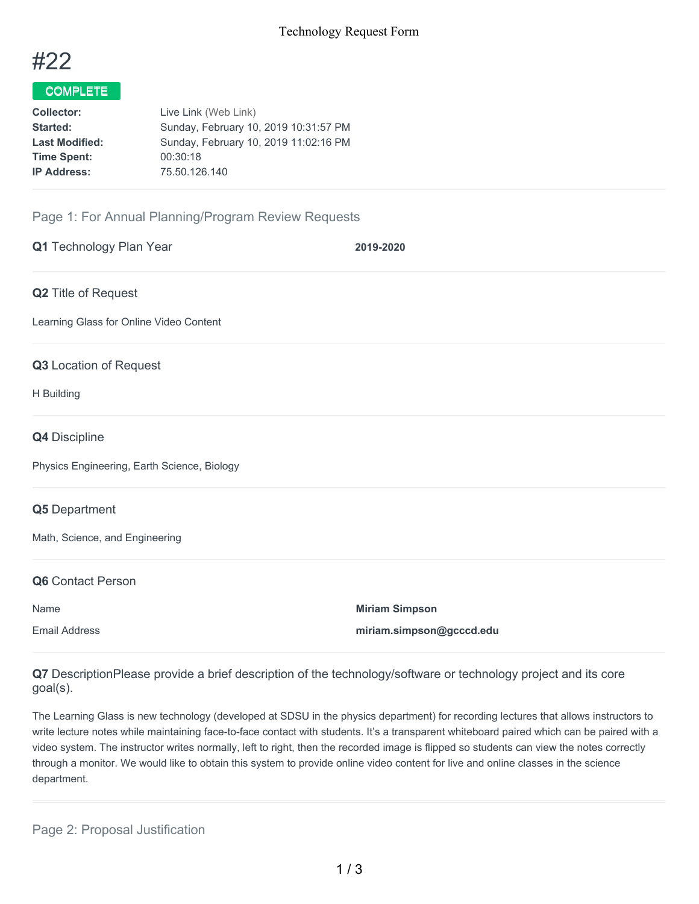

# COMPLETE

| Live Link (Web Link)                  |
|---------------------------------------|
| Sunday, February 10, 2019 10:31:57 PM |
| Sunday, February 10, 2019 11:02:16 PM |
| 00:30:18                              |
| 75.50.126.140                         |
|                                       |

## Page 1: For Annual Planning/Program Review Requests

| Q1 Technology Plan Year                     | 2019-2020                |
|---------------------------------------------|--------------------------|
| Q2 Title of Request                         |                          |
| Learning Glass for Online Video Content     |                          |
| Q3 Location of Request                      |                          |
| H Building                                  |                          |
| Q4 Discipline                               |                          |
| Physics Engineering, Earth Science, Biology |                          |
| Q5 Department                               |                          |
| Math, Science, and Engineering              |                          |
| Q6 Contact Person                           |                          |
| Name                                        | <b>Miriam Simpson</b>    |
| <b>Email Address</b>                        | miriam.simpson@gcccd.edu |

**Q7** DescriptionPlease provide a brief description of the technology/software or technology project and its core goal(s).

The Learning Glass is new technology (developed at SDSU in the physics department) for recording lectures that allows instructors to write lecture notes while maintaining face-to-face contact with students. It's a transparent whiteboard paired which can be paired with a video system. The instructor writes normally, left to right, then the recorded image is flipped so students can view the notes correctly through a monitor. We would like to obtain this system to provide online video content for live and online classes in the science department.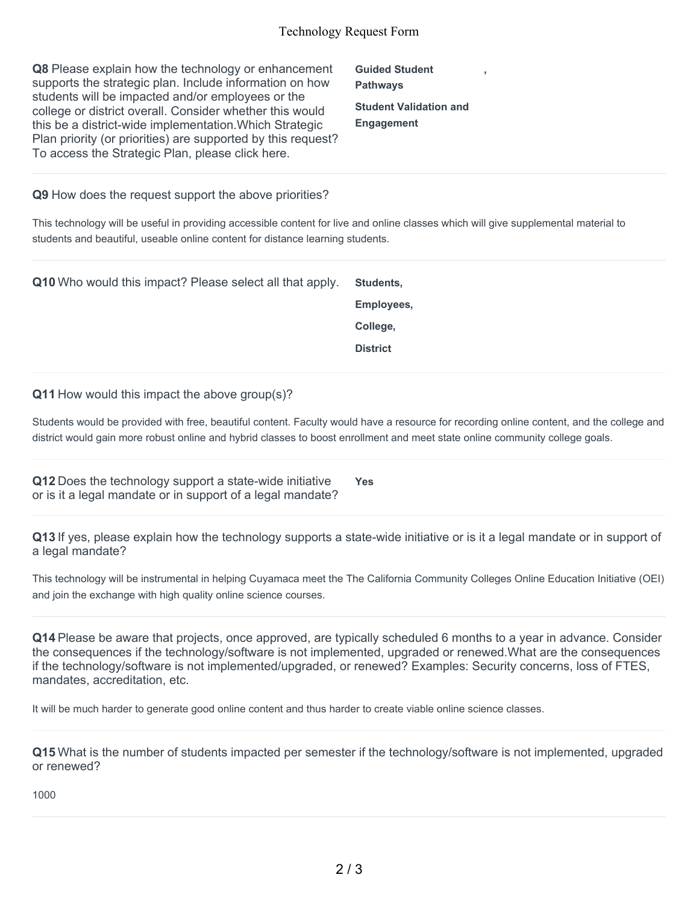**Q8** Please explain how the technology or enhancement supports the strategic plan. Include information on how students will be impacted and/or employees or the college or district overall. Consider whether this would this be a district-wide implementation.Which Strategic Plan priority (or priorities) are supported by this request? To access the Strategic Plan, please click here.

**Guided Student Pathways Student Validation and Engagement**

**,**

#### **Q9** How does the request support the above priorities?

This technology will be useful in providing accessible content for live and online classes which will give supplemental material to students and beautiful, useable online content for distance learning students.

| <b>Q10</b> Who would this impact? Please select all that apply. | Students,       |
|-----------------------------------------------------------------|-----------------|
|                                                                 | Employees,      |
|                                                                 | College,        |
|                                                                 | <b>District</b> |

#### **Q11** How would this impact the above group(s)?

Students would be provided with free, beautiful content. Faculty would have a resource for recording online content, and the college and district would gain more robust online and hybrid classes to boost enrollment and meet state online community college goals.

**Q12** Does the technology support a state-wide initiative or is it a legal mandate or in support of a legal mandate? **Yes**

**Q13** If yes, please explain how the technology supports a state-wide initiative or is it a legal mandate or in support of a legal mandate?

This technology will be instrumental in helping Cuyamaca meet the The California Community Colleges Online Education Initiative (OEI) and join the exchange with high quality online science courses.

**Q14** Please be aware that projects, once approved, are typically scheduled 6 months to a year in advance. Consider the consequences if the technology/software is not implemented, upgraded or renewed.What are the consequences if the technology/software is not implemented/upgraded, or renewed? Examples: Security concerns, loss of FTES, mandates, accreditation, etc.

It will be much harder to generate good online content and thus harder to create viable online science classes.

**Q15** What is the number of students impacted per semester if the technology/software is not implemented, upgraded or renewed?

1000